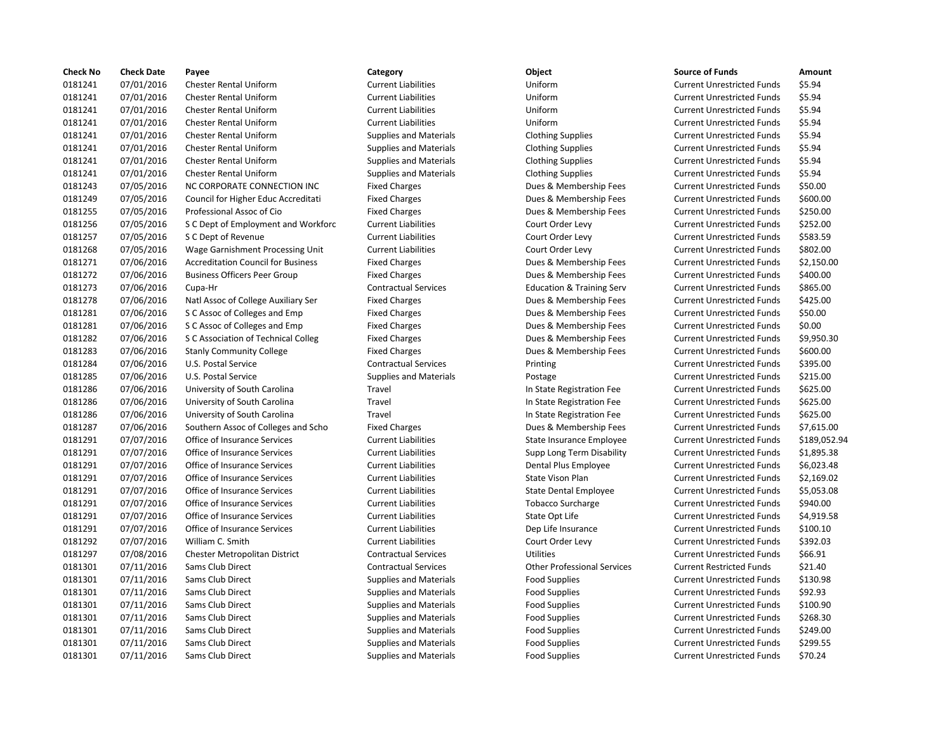| <b>Check No</b> | <b>Check Date</b> | Payee                                     | Category                      | Object                               | <b>Source of Funds</b>            | Amount    |
|-----------------|-------------------|-------------------------------------------|-------------------------------|--------------------------------------|-----------------------------------|-----------|
| 0181241         | 07/01/2016        | <b>Chester Rental Uniform</b>             | <b>Current Liabilities</b>    | Uniform                              | <b>Current Unrestricted Funds</b> | \$5.94    |
| 0181241         | 07/01/2016        | <b>Chester Rental Uniform</b>             | <b>Current Liabilities</b>    | Uniform                              | <b>Current Unrestricted Funds</b> | \$5.94    |
| 0181241         | 07/01/2016        | <b>Chester Rental Uniform</b>             | <b>Current Liabilities</b>    | Uniform                              | <b>Current Unrestricted Funds</b> | \$5.94    |
| 0181241         | 07/01/2016        | <b>Chester Rental Uniform</b>             | <b>Current Liabilities</b>    | Uniform                              | <b>Current Unrestricted Funds</b> | \$5.94    |
| 0181241         | 07/01/2016        | <b>Chester Rental Uniform</b>             | <b>Supplies and Materials</b> | <b>Clothing Supplies</b>             | <b>Current Unrestricted Funds</b> | \$5.94    |
| 0181241         | 07/01/2016        | <b>Chester Rental Uniform</b>             | <b>Supplies and Materials</b> | <b>Clothing Supplies</b>             | <b>Current Unrestricted Funds</b> | \$5.94    |
| 0181241         | 07/01/2016        | <b>Chester Rental Uniform</b>             | <b>Supplies and Materials</b> | <b>Clothing Supplies</b>             | <b>Current Unrestricted Funds</b> | \$5.94    |
| 0181241         | 07/01/2016        | <b>Chester Rental Uniform</b>             | <b>Supplies and Materials</b> | <b>Clothing Supplies</b>             | <b>Current Unrestricted Funds</b> | \$5.94    |
| 0181243         | 07/05/2016        | NC CORPORATE CONNECTION INC               | <b>Fixed Charges</b>          | Dues & Membership Fees               | <b>Current Unrestricted Funds</b> | \$50.00   |
| 0181249         | 07/05/2016        | Council for Higher Educ Accreditati       | <b>Fixed Charges</b>          | Dues & Membership Fees               | <b>Current Unrestricted Funds</b> | \$600.00  |
| 0181255         | 07/05/2016        | Professional Assoc of Cio                 | <b>Fixed Charges</b>          | Dues & Membership Fees               | <b>Current Unrestricted Funds</b> | \$250.00  |
| 0181256         | 07/05/2016        | S C Dept of Employment and Workforc       | <b>Current Liabilities</b>    | Court Order Levy                     | <b>Current Unrestricted Funds</b> | \$252.00  |
| 0181257         | 07/05/2016        | S C Dept of Revenue                       | <b>Current Liabilities</b>    | Court Order Levy                     | <b>Current Unrestricted Funds</b> | \$583.59  |
| 0181268         | 07/05/2016        | Wage Garnishment Processing Unit          | <b>Current Liabilities</b>    | Court Order Levy                     | <b>Current Unrestricted Funds</b> | \$802.00  |
| 0181271         | 07/06/2016        | <b>Accreditation Council for Business</b> | <b>Fixed Charges</b>          | Dues & Membership Fees               | <b>Current Unrestricted Funds</b> | \$2,150.0 |
| 0181272         | 07/06/2016        | <b>Business Officers Peer Group</b>       | <b>Fixed Charges</b>          | Dues & Membership Fees               | <b>Current Unrestricted Funds</b> | \$400.00  |
| 0181273         | 07/06/2016        | Cupa-Hr                                   | <b>Contractual Services</b>   | <b>Education &amp; Training Serv</b> | <b>Current Unrestricted Funds</b> | \$865.00  |
| 0181278         | 07/06/2016        | Natl Assoc of College Auxiliary Ser       | <b>Fixed Charges</b>          | Dues & Membership Fees               | <b>Current Unrestricted Funds</b> | \$425.00  |
| 0181281         | 07/06/2016        | S C Assoc of Colleges and Emp             | <b>Fixed Charges</b>          | Dues & Membership Fees               | <b>Current Unrestricted Funds</b> | \$50.00   |
| 0181281         | 07/06/2016        | S C Assoc of Colleges and Emp             | <b>Fixed Charges</b>          | Dues & Membership Fees               | <b>Current Unrestricted Funds</b> | \$0.00    |
| 0181282         | 07/06/2016        | S C Association of Technical Colleg       | <b>Fixed Charges</b>          | Dues & Membership Fees               | <b>Current Unrestricted Funds</b> | \$9,950.3 |
| 0181283         | 07/06/2016        | <b>Stanly Community College</b>           | <b>Fixed Charges</b>          | Dues & Membership Fees               | <b>Current Unrestricted Funds</b> | \$600.00  |
| 0181284         | 07/06/2016        | U.S. Postal Service                       | <b>Contractual Services</b>   | Printing                             | <b>Current Unrestricted Funds</b> | \$395.00  |
| 0181285         | 07/06/2016        | U.S. Postal Service                       | <b>Supplies and Materials</b> | Postage                              | <b>Current Unrestricted Funds</b> | \$215.00  |
| 0181286         | 07/06/2016        | University of South Carolina              | Travel                        | In State Registration Fee            | <b>Current Unrestricted Funds</b> | \$625.00  |
| 0181286         | 07/06/2016        | University of South Carolina              | Travel                        | In State Registration Fee            | <b>Current Unrestricted Funds</b> | \$625.00  |
| 0181286         | 07/06/2016        | University of South Carolina              | Travel                        | In State Registration Fee            | <b>Current Unrestricted Funds</b> | \$625.00  |
| 0181287         | 07/06/2016        | Southern Assoc of Colleges and Scho       | <b>Fixed Charges</b>          | Dues & Membership Fees               | <b>Current Unrestricted Funds</b> | \$7,615.0 |
| 0181291         | 07/07/2016        | Office of Insurance Services              | <b>Current Liabilities</b>    | State Insurance Employee             | <b>Current Unrestricted Funds</b> | \$189,05  |
| 0181291         | 07/07/2016        | Office of Insurance Services              | <b>Current Liabilities</b>    | Supp Long Term Disability            | <b>Current Unrestricted Funds</b> | \$1,895.3 |
| 0181291         | 07/07/2016        | Office of Insurance Services              | <b>Current Liabilities</b>    | Dental Plus Employee                 | <b>Current Unrestricted Funds</b> | \$6,023.4 |
| 0181291         | 07/07/2016        | Office of Insurance Services              | <b>Current Liabilities</b>    | State Vison Plan                     | <b>Current Unrestricted Funds</b> | \$2,169.0 |
| 0181291         | 07/07/2016        | Office of Insurance Services              | <b>Current Liabilities</b>    | <b>State Dental Employee</b>         | <b>Current Unrestricted Funds</b> | \$5,053.0 |
| 0181291         | 07/07/2016        | Office of Insurance Services              | <b>Current Liabilities</b>    | <b>Tobacco Surcharge</b>             | <b>Current Unrestricted Funds</b> | \$940.00  |
| 0181291         | 07/07/2016        | Office of Insurance Services              | <b>Current Liabilities</b>    | State Opt Life                       | <b>Current Unrestricted Funds</b> | \$4,919.5 |
| 0181291         | 07/07/2016        | Office of Insurance Services              | <b>Current Liabilities</b>    | Dep Life Insurance                   | <b>Current Unrestricted Funds</b> | \$100.10  |
| 0181292         | 07/07/2016        | William C. Smith                          | <b>Current Liabilities</b>    | Court Order Levy                     | <b>Current Unrestricted Funds</b> | \$392.03  |
| 0181297         | 07/08/2016        | Chester Metropolitan District             | <b>Contractual Services</b>   | <b>Utilities</b>                     | <b>Current Unrestricted Funds</b> | \$66.91   |
| 0181301         | 07/11/2016        | Sams Club Direct                          | <b>Contractual Services</b>   | <b>Other Professional Services</b>   | <b>Current Restricted Funds</b>   | \$21.40   |
| 0181301         | 07/11/2016        | Sams Club Direct                          | <b>Supplies and Materials</b> | <b>Food Supplies</b>                 | <b>Current Unrestricted Funds</b> | \$130.98  |
| 0181301         | 07/11/2016        | Sams Club Direct                          | <b>Supplies and Materials</b> | <b>Food Supplies</b>                 | <b>Current Unrestricted Funds</b> | \$92.93   |
| 0181301         | 07/11/2016        | Sams Club Direct                          | <b>Supplies and Materials</b> | <b>Food Supplies</b>                 | <b>Current Unrestricted Funds</b> | \$100.90  |
| 0181301         | 07/11/2016        | <b>Sams Club Direct</b>                   | <b>Supplies and Materials</b> | <b>Food Supplies</b>                 | <b>Current Unrestricted Funds</b> | \$268.30  |
| 0181301         | 07/11/2016        | Sams Club Direct                          | <b>Supplies and Materials</b> | <b>Food Supplies</b>                 | <b>Current Unrestricted Funds</b> | \$249.00  |
| 0181301         | 07/11/2016        | Sams Club Direct                          | <b>Supplies and Materials</b> | <b>Food Supplies</b>                 | <b>Current Unrestricted Funds</b> | \$299.55  |
| 0181301         | 07/11/2016        | Sams Club Direct                          | <b>Supplies and Materials</b> | <b>Food Supplies</b>                 | <b>Current Unrestricted Funds</b> | \$70.24   |

## 0181241 07/01/2016 Chester Rental Uniform Current Liabilities Uniform Current Unrestricted Funds \$5.94 0181241 07/01/2016 Chester Rental Uniform Current Liabilities Uniform Current Unrestricted Funds \$5.94 0181241 07/01/2016 Chester Rental Uniform Current Liabilities Uniform Current Unrestricted Funds \$5.94 0181241 07/01/2016 Chester Rental Uniform Current Liabilities Uniform Current Unrestricted Funds \$5.94 Supplies and Materials **Clothing Supplies Current Unrestricted Funds** \$5.94 0181241 07/01/2016 Chester Rental Uniform Supplies and Materials Clothing Supplies Current Unrestricted Funds \$5.94 Supplies and Materials **Clothing Supplies Current Unrestricted Funds** \$5.94 Supplies and Materials **Clothing Supplies Current Unrestricted Funds** \$5.94 Fixed Charges **Dues & Membership Fees** Current Unrestricted Funds \$50.00 0181249 07/05/2016 Council for Higher Educ Accreditati Fixed Charges Dues & Membership Fees Current Unrestricted Funds \$600.00 Fixed Charges **250.00 Dues & Membership Fees** Current Unrestricted Funds \$250.00 0181256 07/05/2016 S C Dept of Employment and Workforc Current Liabilities Court Order Levy Current Unrestricted Funds \$252.00 Ournent Liabilities Court Order Levy Current Unrestricted Funds \$583.59 it Current Liabilities Court Order Levy Current Unrestricted Funds \$802.00 Fixed Charges **Accreditation Council For Business Fixed Charges** Current Unrestricted Funds \$2,150.00 Fixed Charges **Dues & Membership Fees** Current Unrestricted Funds \$400.00 0181273 07/06/2016 Cupa-Hr Contractual Services Education & Training Serv Current Unrestricted Funds \$865.00 Fixed Charges **277.000 Example Auxiliary Service Auxiliary Service Auxiliary Service Auxiliary Service Auxiliary Service Auxiliary Service Auxiliary Service Auxiliary Service Auxiliary Service Auxiliary Service Auxiliary S** Fixed Charges **2016** Dues & Membership Fees Current Unrestricted Funds \$50.00 Eixed Charges **Associates and Emp Fixed Charges Associates Associates Colleges** Current Unrestricted Funds \$0.00 Fixed Charges **2006** Dues & Membership Fees Current Unrestricted Funds \$9,950.30 Fixed Charges **1202 1812 Community Community Community** Current Unrestricted Funds \$600.00 0181284 07/06/2016 U.S. Postal Service Contractual Services Printing Current Unrestricted Funds \$395.00 0181285 07/06/2016 U.S. Postal Service Supplies and Materials Postage Current Unrestricted Funds \$215.00 0181286 07/06/2016 University of South Carolina Travel In State Registration Fee Current Unrestricted Funds \$625.00 Travel **12186 17/06/2016** In State Registration Fee Current Unrestricted Funds \$625.00 Travel **12016 17:06: University of South Carolina Travel In State Registration Fee Current Unrestricted Funds \$625.00** nd and Tixed Charges Tran Association Charges Association Dues & Membership Fees Current Unrestricted Funds \$7,615.00 0181291 07/07/2016 Office of Insurance Services Current Liabilities State Insurance Employee Current Unrestricted Funds \$189,052.94 0181291 07/07/2016 Office of Insurance Services Current Liabilities Supp Long Term Disability Current Unrestricted Funds \$1,895.38 0181291 07/07/2016 Office of Insurance Services Current Liabilities Dental Plus Employee Current Unrestricted Funds \$6,023.48 0181291 07/07/2016 Office of Insurance Services Current Liabilities State Vison Plan Current Unrestricted Funds \$2,169.02 0181291 07/07/2016 Office of Insurance Services Current Liabilities State Dental Employee Current Unrestricted Funds \$5,053.08 0181291 07/07/2016 Office of Insurance Services Current Liabilities Tobacco Surcharge Current Unrestricted Funds \$940.00 0181291 07/07/2016 Office of Insurance Services Current Liabilities State Opt Life Current Unrestricted Funds \$4,919.58 0181291 07/07/2016 Office of Insurance Services Current Liabilities Dep Life Insurance Current Unrestricted Funds \$100.10 0181292 07/07/2016 William C. Smith Current Liabilities Court Order Levy Current Unrestricted Funds \$392.03 Contractual Services **Current Unities** Current Unrestricted Funds \$66.91 0181301 07/11/2016 Sams Club Direct Contractual Services Other Professional Services Current Restricted Funds \$21.40 0181301 07/11/2016 Sams Club Direct Supplies and Materials Food Supplies Current Unrestricted Funds \$130.98 0181301 07/11/2016 Sams Club Direct Supplies and Materials Food Supplies Current Unrestricted Funds \$92.93 0181301 07/11/2016 Sams Club Direct Supplies and Materials Food Supplies Current Unrestricted Funds \$100.90 0181301 07/11/2016 Sams Club Direct Supplies and Materials Food Supplies Current Unrestricted Funds \$268.30 0181301 07/11/2016 Sams Club Direct Supplies and Materials Food Supplies Current Unrestricted Funds \$249.00 0181301 07/11/2016 Sams Club Direct Supplies and Materials Food Supplies Current Unrestricted Funds \$299.55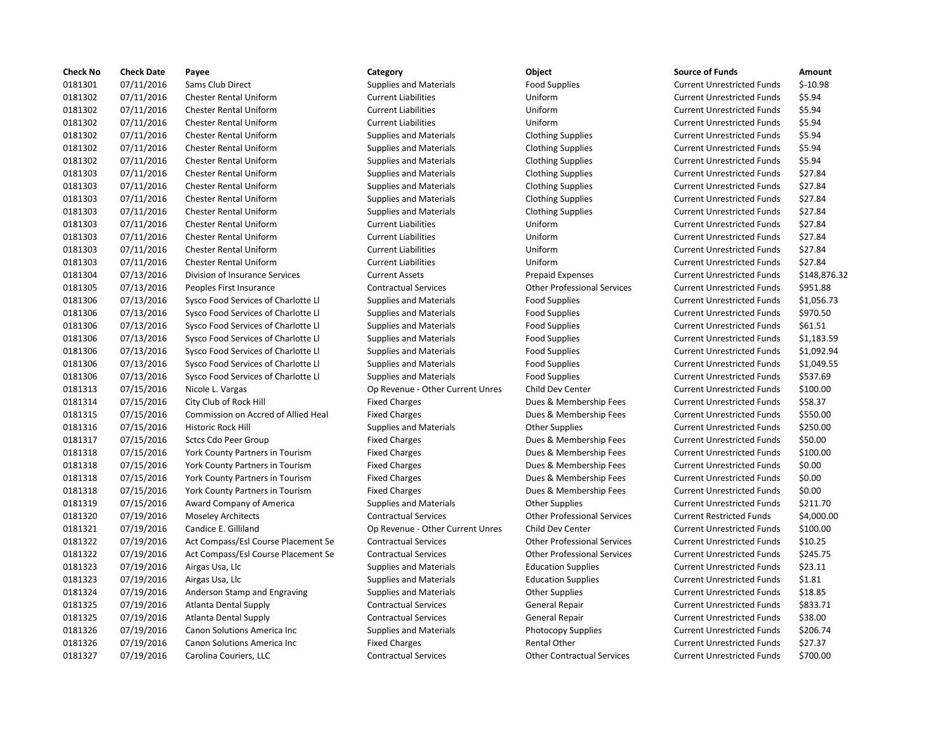| <b>Check No</b> | <b>Check Date</b> | Payee                                      | Category                         | <b>Object</b>                      | <b>Source of Funds</b>            | Amount    |
|-----------------|-------------------|--------------------------------------------|----------------------------------|------------------------------------|-----------------------------------|-----------|
| 0181301         | 07/11/2016        | Sams Club Direct                           | <b>Supplies and Materials</b>    | <b>Food Supplies</b>               | <b>Current Unrestricted Funds</b> | $$-10.98$ |
| 0181302         | 07/11/2016        | <b>Chester Rental Uniform</b>              | <b>Current Liabilities</b>       | Uniform                            | <b>Current Unrestricted Funds</b> | \$5.94    |
| 0181302         | 07/11/2016        | <b>Chester Rental Uniform</b>              | <b>Current Liabilities</b>       | Uniform                            | <b>Current Unrestricted Funds</b> | \$5.94    |
| 0181302         | 07/11/2016        | <b>Chester Rental Uniform</b>              | <b>Current Liabilities</b>       | Uniform                            | <b>Current Unrestricted Funds</b> | \$5.94    |
| 0181302         | 07/11/2016        | <b>Chester Rental Uniform</b>              | <b>Supplies and Materials</b>    | <b>Clothing Supplies</b>           | <b>Current Unrestricted Funds</b> | \$5.94    |
| 0181302         | 07/11/2016        | <b>Chester Rental Uniform</b>              | <b>Supplies and Materials</b>    | <b>Clothing Supplies</b>           | <b>Current Unrestricted Funds</b> | \$5.94    |
| 0181302         | 07/11/2016        | <b>Chester Rental Uniform</b>              | <b>Supplies and Materials</b>    | <b>Clothing Supplies</b>           | <b>Current Unrestricted Funds</b> | \$5.94    |
| 0181303         | 07/11/2016        | <b>Chester Rental Uniform</b>              | <b>Supplies and Materials</b>    | <b>Clothing Supplies</b>           | <b>Current Unrestricted Funds</b> | \$27.84   |
| 0181303         | 07/11/2016        | <b>Chester Rental Uniform</b>              | <b>Supplies and Materials</b>    | <b>Clothing Supplies</b>           | <b>Current Unrestricted Funds</b> | \$27.84   |
| 0181303         | 07/11/2016        | <b>Chester Rental Uniform</b>              | <b>Supplies and Materials</b>    | <b>Clothing Supplies</b>           | <b>Current Unrestricted Funds</b> | \$27.84   |
| 0181303         | 07/11/2016        | <b>Chester Rental Uniform</b>              | <b>Supplies and Materials</b>    | <b>Clothing Supplies</b>           | <b>Current Unrestricted Funds</b> | \$27.84   |
| 0181303         | 07/11/2016        | <b>Chester Rental Uniform</b>              | <b>Current Liabilities</b>       | Uniform                            | <b>Current Unrestricted Funds</b> | \$27.84   |
| 0181303         | 07/11/2016        | <b>Chester Rental Uniform</b>              | <b>Current Liabilities</b>       | Uniform                            | <b>Current Unrestricted Funds</b> | \$27.84   |
| 0181303         | 07/11/2016        | <b>Chester Rental Uniform</b>              | <b>Current Liabilities</b>       | Uniform                            | <b>Current Unrestricted Funds</b> | \$27.84   |
| 0181303         | 07/11/2016        | <b>Chester Rental Uniform</b>              | <b>Current Liabilities</b>       | Uniform                            | <b>Current Unrestricted Funds</b> | \$27.84   |
| 0181304         | 07/13/2016        | Division of Insurance Services             | <b>Current Assets</b>            | <b>Prepaid Expenses</b>            | <b>Current Unrestricted Funds</b> | \$148,87  |
| 0181305         | 07/13/2016        | Peoples First Insurance                    | <b>Contractual Services</b>      | <b>Other Professional Services</b> | <b>Current Unrestricted Funds</b> | \$951.88  |
| 0181306         | 07/13/2016        | Sysco Food Services of Charlotte Ll        | <b>Supplies and Materials</b>    | <b>Food Supplies</b>               | <b>Current Unrestricted Funds</b> | \$1,056.7 |
| 0181306         | 07/13/2016        | Sysco Food Services of Charlotte Ll        | <b>Supplies and Materials</b>    | <b>Food Supplies</b>               | <b>Current Unrestricted Funds</b> | \$970.50  |
| 0181306         | 07/13/2016        | Sysco Food Services of Charlotte Ll        | <b>Supplies and Materials</b>    | <b>Food Supplies</b>               | <b>Current Unrestricted Funds</b> | \$61.51   |
| 0181306         | 07/13/2016        | Sysco Food Services of Charlotte Ll        | <b>Supplies and Materials</b>    | <b>Food Supplies</b>               | <b>Current Unrestricted Funds</b> | \$1,183.5 |
| 0181306         | 07/13/2016        | Sysco Food Services of Charlotte Ll        | <b>Supplies and Materials</b>    | <b>Food Supplies</b>               | <b>Current Unrestricted Funds</b> | \$1,092.9 |
| 0181306         | 07/13/2016        | Sysco Food Services of Charlotte Ll        | <b>Supplies and Materials</b>    | <b>Food Supplies</b>               | <b>Current Unrestricted Funds</b> | \$1,049.5 |
| 0181306         | 07/13/2016        | Sysco Food Services of Charlotte Ll        | <b>Supplies and Materials</b>    | <b>Food Supplies</b>               | <b>Current Unrestricted Funds</b> | \$537.69  |
| 0181313         | 07/15/2016        | Nicole L. Vargas                           | Op Revenue - Other Current Unres | Child Dev Center                   | <b>Current Unrestricted Funds</b> | \$100.00  |
| 0181314         | 07/15/2016        | City Club of Rock Hill                     | <b>Fixed Charges</b>             | Dues & Membership Fees             | <b>Current Unrestricted Funds</b> | \$58.37   |
| 0181315         | 07/15/2016        | <b>Commission on Accred of Allied Heal</b> | <b>Fixed Charges</b>             | Dues & Membership Fees             | <b>Current Unrestricted Funds</b> | \$550.00  |
| 0181316         | 07/15/2016        | Historic Rock Hill                         | <b>Supplies and Materials</b>    | <b>Other Supplies</b>              | <b>Current Unrestricted Funds</b> | \$250.00  |
| 0181317         | 07/15/2016        | <b>Sctcs Cdo Peer Group</b>                | <b>Fixed Charges</b>             | Dues & Membership Fees             | <b>Current Unrestricted Funds</b> | \$50.00   |
| 0181318         | 07/15/2016        | York County Partners in Tourism            | <b>Fixed Charges</b>             | Dues & Membership Fees             | <b>Current Unrestricted Funds</b> | \$100.00  |
| 0181318         | 07/15/2016        | York County Partners in Tourism            | <b>Fixed Charges</b>             | Dues & Membership Fees             | <b>Current Unrestricted Funds</b> | \$0.00    |
| 0181318         | 07/15/2016        | York County Partners in Tourism            | <b>Fixed Charges</b>             | Dues & Membership Fees             | <b>Current Unrestricted Funds</b> | \$0.00    |
| 0181318         | 07/15/2016        | York County Partners in Tourism            | <b>Fixed Charges</b>             | Dues & Membership Fees             | <b>Current Unrestricted Funds</b> | \$0.00    |
| 0181319         | 07/15/2016        | Award Company of America                   | <b>Supplies and Materials</b>    | <b>Other Supplies</b>              | <b>Current Unrestricted Funds</b> | \$211.70  |
| 0181320         | 07/19/2016        | <b>Moseley Architects</b>                  | <b>Contractual Services</b>      | <b>Other Professional Services</b> | <b>Current Restricted Funds</b>   | \$4,000.0 |
| 0181321         | 07/19/2016        | Candice E. Gilliland                       | Op Revenue - Other Current Unres | Child Dev Center                   | <b>Current Unrestricted Funds</b> | \$100.00  |
| 0181322         | 07/19/2016        | Act Compass/Esl Course Placement Se        | <b>Contractual Services</b>      | <b>Other Professional Services</b> | <b>Current Unrestricted Funds</b> | \$10.25   |
| 0181322         | 07/19/2016        | Act Compass/Esl Course Placement Se        | <b>Contractual Services</b>      | <b>Other Professional Services</b> | <b>Current Unrestricted Funds</b> | \$245.75  |
| 0181323         | 07/19/2016        | Airgas Usa, Llc                            | <b>Supplies and Materials</b>    | <b>Education Supplies</b>          | <b>Current Unrestricted Funds</b> | \$23.11   |
| 0181323         | 07/19/2016        | Airgas Usa, Llc                            | <b>Supplies and Materials</b>    | <b>Education Supplies</b>          | <b>Current Unrestricted Funds</b> | \$1.81    |
| 0181324         | 07/19/2016        | Anderson Stamp and Engraving               | <b>Supplies and Materials</b>    | <b>Other Supplies</b>              | <b>Current Unrestricted Funds</b> | \$18.85   |
| 0181325         | 07/19/2016        | Atlanta Dental Supply                      | <b>Contractual Services</b>      | General Repair                     | <b>Current Unrestricted Funds</b> | \$833.71  |
| 0181325         | 07/19/2016        | Atlanta Dental Supply                      | <b>Contractual Services</b>      | General Repair                     | <b>Current Unrestricted Funds</b> | \$38.00   |
| 0181326         | 07/19/2016        | Canon Solutions America Inc                | <b>Supplies and Materials</b>    | Photocopy Supplies                 | <b>Current Unrestricted Funds</b> | \$206.74  |
| 0181326         | 07/19/2016        | Canon Solutions America Inc                | <b>Fixed Charges</b>             | <b>Rental Other</b>                | <b>Current Unrestricted Funds</b> | \$27.37   |
| 0181327         | 07/19/2016        | Carolina Couriers, LLC                     | <b>Contractual Services</b>      | <b>Other Contractual Services</b>  | <b>Current Unrestricted Funds</b> | \$700.00  |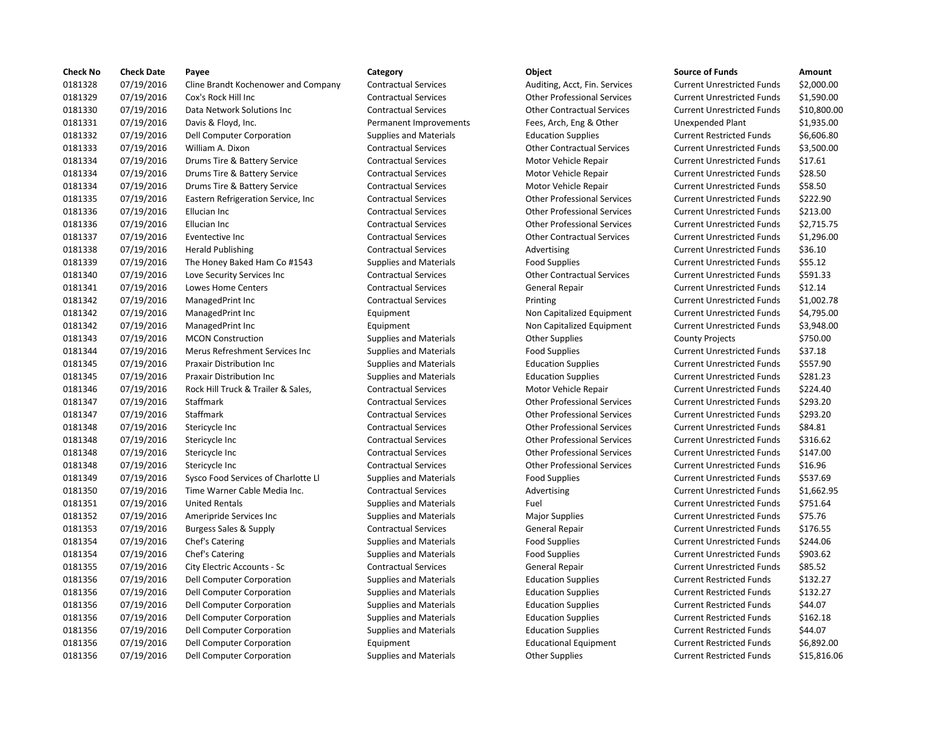| <b>Check No</b> | <b>Check Date</b> | Payee                               | Category                      | Object                             | <b>Source of Funds</b>            | Amount      |
|-----------------|-------------------|-------------------------------------|-------------------------------|------------------------------------|-----------------------------------|-------------|
| 0181328         | 07/19/2016        | Cline Brandt Kochenower and Company | <b>Contractual Services</b>   | Auditing, Acct, Fin. Services      | <b>Current Unrestricted Funds</b> | \$2,000.00  |
| 0181329         | 07/19/2016        | Cox's Rock Hill Inc                 | <b>Contractual Services</b>   | <b>Other Professional Services</b> | <b>Current Unrestricted Funds</b> | \$1,590.00  |
| 0181330         | 07/19/2016        | Data Network Solutions Inc          | <b>Contractual Services</b>   | <b>Other Contractual Services</b>  | <b>Current Unrestricted Funds</b> | \$10,800.00 |
| 0181331         | 07/19/2016        | Davis & Floyd, Inc.                 | Permanent Improvements        | Fees, Arch, Eng & Other            | <b>Unexpended Plant</b>           | \$1,935.00  |
| 0181332         | 07/19/2016        | Dell Computer Corporation           | <b>Supplies and Materials</b> | <b>Education Supplies</b>          | <b>Current Restricted Funds</b>   | \$6,606.80  |
| 0181333         | 07/19/2016        | William A. Dixon                    | <b>Contractual Services</b>   | <b>Other Contractual Services</b>  | <b>Current Unrestricted Funds</b> | \$3,500.00  |
| 0181334         | 07/19/2016        | Drums Tire & Battery Service        | <b>Contractual Services</b>   | Motor Vehicle Repair               | <b>Current Unrestricted Funds</b> | \$17.61     |
| 0181334         | 07/19/2016        | Drums Tire & Battery Service        | <b>Contractual Services</b>   | Motor Vehicle Repair               | <b>Current Unrestricted Funds</b> | \$28.50     |
| 0181334         | 07/19/2016        | Drums Tire & Battery Service        | <b>Contractual Services</b>   | Motor Vehicle Repair               | <b>Current Unrestricted Funds</b> | \$58.50     |
| 0181335         | 07/19/2016        | Eastern Refrigeration Service, Inc. | <b>Contractual Services</b>   | <b>Other Professional Services</b> | <b>Current Unrestricted Funds</b> | \$222.90    |
| 0181336         | 07/19/2016        | Ellucian Inc                        | <b>Contractual Services</b>   | <b>Other Professional Services</b> | <b>Current Unrestricted Funds</b> | \$213.00    |
| 0181336         | 07/19/2016        | Ellucian Inc                        | <b>Contractual Services</b>   | <b>Other Professional Services</b> | <b>Current Unrestricted Funds</b> | \$2,715.75  |
| 0181337         | 07/19/2016        | Eventective Inc                     | <b>Contractual Services</b>   | <b>Other Contractual Services</b>  | <b>Current Unrestricted Funds</b> | \$1,296.00  |
| 0181338         | 07/19/2016        | <b>Herald Publishing</b>            | <b>Contractual Services</b>   | Advertising                        | <b>Current Unrestricted Funds</b> | \$36.10     |
| 0181339         | 07/19/2016        | The Honey Baked Ham Co #1543        | <b>Supplies and Materials</b> | <b>Food Supplies</b>               | <b>Current Unrestricted Funds</b> | \$55.12     |
| 0181340         | 07/19/2016        | Love Security Services Inc          | <b>Contractual Services</b>   | <b>Other Contractual Services</b>  | <b>Current Unrestricted Funds</b> | \$591.33    |
| 0181341         | 07/19/2016        | Lowes Home Centers                  | <b>Contractual Services</b>   | General Repair                     | <b>Current Unrestricted Funds</b> | \$12.14     |
| 0181342         | 07/19/2016        | ManagedPrint Inc                    | <b>Contractual Services</b>   | Printing                           | <b>Current Unrestricted Funds</b> | \$1,002.78  |
| 0181342         | 07/19/2016        | ManagedPrint Inc                    | Equipment                     | Non Capitalized Equipment          | <b>Current Unrestricted Funds</b> | \$4,795.00  |
| 0181342         | 07/19/2016        | ManagedPrint Inc                    | Equipment                     | Non Capitalized Equipment          | <b>Current Unrestricted Funds</b> | \$3,948.00  |
| 0181343         | 07/19/2016        | <b>MCON Construction</b>            | <b>Supplies and Materials</b> | <b>Other Supplies</b>              | <b>County Projects</b>            | \$750.00    |
| 0181344         | 07/19/2016        | Merus Refreshment Services Inc      | <b>Supplies and Materials</b> | <b>Food Supplies</b>               | <b>Current Unrestricted Funds</b> | \$37.18     |
| 0181345         | 07/19/2016        | <b>Praxair Distribution Inc.</b>    | <b>Supplies and Materials</b> | <b>Education Supplies</b>          | <b>Current Unrestricted Funds</b> | \$557.90    |
| 0181345         | 07/19/2016        | <b>Praxair Distribution Inc</b>     | <b>Supplies and Materials</b> | <b>Education Supplies</b>          | <b>Current Unrestricted Funds</b> | \$281.23    |
| 0181346         | 07/19/2016        | Rock Hill Truck & Trailer & Sales,  | <b>Contractual Services</b>   | Motor Vehicle Repair               | <b>Current Unrestricted Funds</b> | \$224.40    |
| 0181347         | 07/19/2016        | Staffmark                           | <b>Contractual Services</b>   | <b>Other Professional Services</b> | <b>Current Unrestricted Funds</b> | \$293.20    |
| 0181347         | 07/19/2016        | Staffmark                           | <b>Contractual Services</b>   | <b>Other Professional Services</b> | <b>Current Unrestricted Funds</b> | \$293.20    |
| 0181348         | 07/19/2016        | Stericycle Inc                      | <b>Contractual Services</b>   | <b>Other Professional Services</b> | <b>Current Unrestricted Funds</b> | \$84.81     |
| 0181348         | 07/19/2016        | Stericycle Inc                      | <b>Contractual Services</b>   | <b>Other Professional Services</b> | <b>Current Unrestricted Funds</b> | \$316.62    |
| 0181348         | 07/19/2016        | Stericycle Inc                      | <b>Contractual Services</b>   | <b>Other Professional Services</b> | <b>Current Unrestricted Funds</b> | \$147.00    |
| 0181348         | 07/19/2016        | Stericycle Inc                      | <b>Contractual Services</b>   | <b>Other Professional Services</b> | <b>Current Unrestricted Funds</b> | \$16.96     |
| 0181349         | 07/19/2016        | Sysco Food Services of Charlotte Ll | <b>Supplies and Materials</b> | <b>Food Supplies</b>               | <b>Current Unrestricted Funds</b> | \$537.69    |
| 0181350         | 07/19/2016        | Time Warner Cable Media Inc.        | <b>Contractual Services</b>   | Advertising                        | <b>Current Unrestricted Funds</b> | \$1,662.95  |
| 0181351         | 07/19/2016        | <b>United Rentals</b>               | <b>Supplies and Materials</b> | Fuel                               | <b>Current Unrestricted Funds</b> | \$751.64    |
| 0181352         | 07/19/2016        | Ameripride Services Inc             | <b>Supplies and Materials</b> | <b>Major Supplies</b>              | <b>Current Unrestricted Funds</b> | \$75.76     |
| 0181353         | 07/19/2016        | <b>Burgess Sales &amp; Supply</b>   | <b>Contractual Services</b>   | <b>General Repair</b>              | <b>Current Unrestricted Funds</b> | \$176.55    |
| 0181354         | 07/19/2016        | Chef's Catering                     | <b>Supplies and Materials</b> | <b>Food Supplies</b>               | <b>Current Unrestricted Funds</b> | \$244.06    |
| 0181354         | 07/19/2016        | Chef's Catering                     | <b>Supplies and Materials</b> | <b>Food Supplies</b>               | <b>Current Unrestricted Funds</b> | \$903.62    |
| 0181355         | 07/19/2016        | City Electric Accounts - Sc         | <b>Contractual Services</b>   | General Repair                     | <b>Current Unrestricted Funds</b> | \$85.52     |
| 0181356         | 07/19/2016        | Dell Computer Corporation           | <b>Supplies and Materials</b> | <b>Education Supplies</b>          | <b>Current Restricted Funds</b>   | \$132.27    |
| 0181356         | 07/19/2016        | Dell Computer Corporation           | <b>Supplies and Materials</b> | <b>Education Supplies</b>          | <b>Current Restricted Funds</b>   | \$132.27    |
| 0181356         | 07/19/2016        | Dell Computer Corporation           | <b>Supplies and Materials</b> | <b>Education Supplies</b>          | <b>Current Restricted Funds</b>   | \$44.07     |
| 0181356         | 07/19/2016        | Dell Computer Corporation           | <b>Supplies and Materials</b> | <b>Education Supplies</b>          | <b>Current Restricted Funds</b>   | \$162.18    |
| 0181356         | 07/19/2016        | <b>Dell Computer Corporation</b>    | <b>Supplies and Materials</b> | <b>Education Supplies</b>          | <b>Current Restricted Funds</b>   | \$44.07     |
| 0181356         | 07/19/2016        | Dell Computer Corporation           | Equipment                     | <b>Educational Equipment</b>       | <b>Current Restricted Funds</b>   | \$6.892.00  |
| 0181356         | 07/19/2016        | Dell Computer Corporation           | <b>Supplies and Materials</b> | <b>Other Supplies</b>              | <b>Current Restricted Funds</b>   | \$15,816.06 |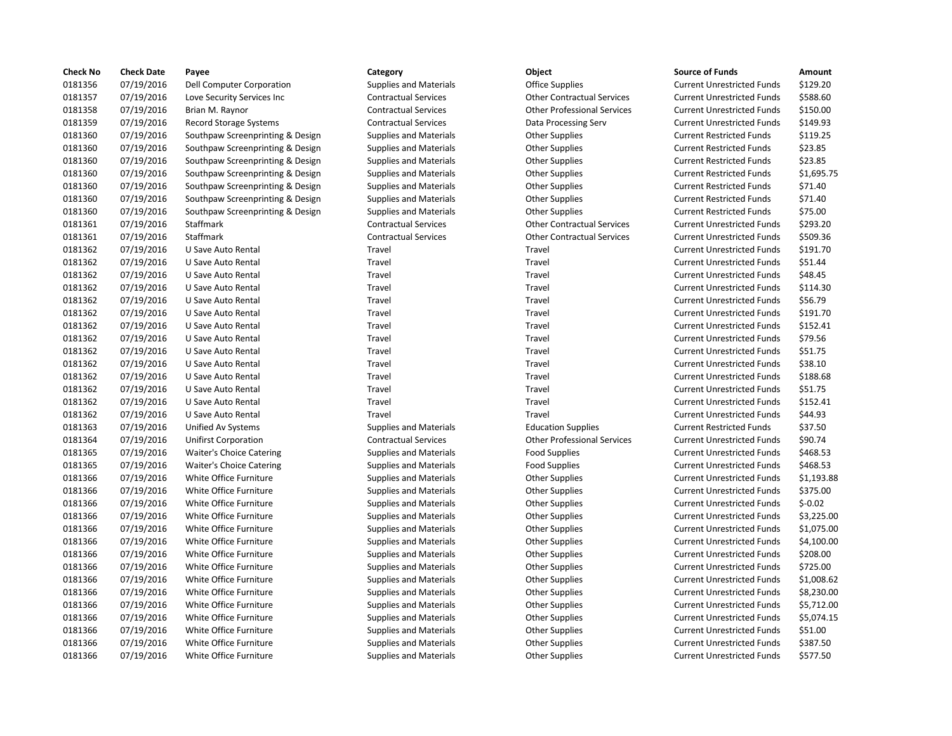| <b>Check No</b> | <b>Check Date</b> | Payee                            | Category                      | <b>Object</b>                      | <b>Source of Funds</b>            | Amount    |
|-----------------|-------------------|----------------------------------|-------------------------------|------------------------------------|-----------------------------------|-----------|
| 0181356         | 07/19/2016        | Dell Computer Corporation        | <b>Supplies and Materials</b> | <b>Office Supplies</b>             | <b>Current Unrestricted Funds</b> | \$129.20  |
| 0181357         | 07/19/2016        | Love Security Services Inc       | <b>Contractual Services</b>   | <b>Other Contractual Services</b>  | <b>Current Unrestricted Funds</b> | \$588.60  |
| 0181358         | 07/19/2016        | Brian M. Raynor                  | <b>Contractual Services</b>   | <b>Other Professional Services</b> | <b>Current Unrestricted Funds</b> | \$150.00  |
| 0181359         | 07/19/2016        | Record Storage Systems           | <b>Contractual Services</b>   | Data Processing Serv               | <b>Current Unrestricted Funds</b> | \$149.93  |
| 0181360         | 07/19/2016        | Southpaw Screenprinting & Design | <b>Supplies and Materials</b> | <b>Other Supplies</b>              | <b>Current Restricted Funds</b>   | \$119.25  |
| 0181360         | 07/19/2016        | Southpaw Screenprinting & Design | <b>Supplies and Materials</b> | <b>Other Supplies</b>              | <b>Current Restricted Funds</b>   | \$23.85   |
| 0181360         | 07/19/2016        | Southpaw Screenprinting & Design | <b>Supplies and Materials</b> | <b>Other Supplies</b>              | <b>Current Restricted Funds</b>   | \$23.85   |
| 0181360         | 07/19/2016        | Southpaw Screenprinting & Design | <b>Supplies and Materials</b> | <b>Other Supplies</b>              | <b>Current Restricted Funds</b>   | \$1,695.7 |
| 0181360         | 07/19/2016        | Southpaw Screenprinting & Design | <b>Supplies and Materials</b> | <b>Other Supplies</b>              | <b>Current Restricted Funds</b>   | \$71.40   |
| 0181360         | 07/19/2016        | Southpaw Screenprinting & Design | <b>Supplies and Materials</b> | <b>Other Supplies</b>              | <b>Current Restricted Funds</b>   | \$71.40   |
| 0181360         | 07/19/2016        | Southpaw Screenprinting & Design | <b>Supplies and Materials</b> | <b>Other Supplies</b>              | <b>Current Restricted Funds</b>   | \$75.00   |
| 0181361         | 07/19/2016        | Staffmark                        | <b>Contractual Services</b>   | <b>Other Contractual Services</b>  | <b>Current Unrestricted Funds</b> | \$293.20  |
| 0181361         | 07/19/2016        | Staffmark                        | <b>Contractual Services</b>   | <b>Other Contractual Services</b>  | <b>Current Unrestricted Funds</b> | \$509.36  |
| 0181362         | 07/19/2016        | U Save Auto Rental               | Travel                        | Travel                             | <b>Current Unrestricted Funds</b> | \$191.70  |
| 0181362         | 07/19/2016        | U Save Auto Rental               | Travel                        | Travel                             | <b>Current Unrestricted Funds</b> | \$51.44   |
| 0181362         | 07/19/2016        | U Save Auto Rental               | Travel                        | Travel                             | <b>Current Unrestricted Funds</b> | \$48.45   |
| 0181362         | 07/19/2016        | U Save Auto Rental               | Travel                        | Travel                             | <b>Current Unrestricted Funds</b> | \$114.30  |
| 0181362         | 07/19/2016        | U Save Auto Rental               | Travel                        | Travel                             | <b>Current Unrestricted Funds</b> | \$56.79   |
| 0181362         | 07/19/2016        | U Save Auto Rental               | Travel                        | Travel                             | <b>Current Unrestricted Funds</b> | \$191.70  |
| 0181362         | 07/19/2016        | U Save Auto Rental               | Travel                        | Travel                             | <b>Current Unrestricted Funds</b> | \$152.41  |
| 0181362         | 07/19/2016        | U Save Auto Rental               | Travel                        | Travel                             | <b>Current Unrestricted Funds</b> | \$79.56   |
| 0181362         | 07/19/2016        | U Save Auto Rental               | Travel                        | Travel                             | <b>Current Unrestricted Funds</b> | \$51.75   |
| 0181362         | 07/19/2016        | U Save Auto Rental               | Travel                        | Travel                             | <b>Current Unrestricted Funds</b> | \$38.10   |
| 0181362         | 07/19/2016        | U Save Auto Rental               | Travel                        | Travel                             | <b>Current Unrestricted Funds</b> | \$188.68  |
| 0181362         | 07/19/2016        | U Save Auto Rental               | Travel                        | Travel                             | <b>Current Unrestricted Funds</b> | \$51.75   |
| 0181362         | 07/19/2016        | U Save Auto Rental               | Travel                        | Travel                             | <b>Current Unrestricted Funds</b> | \$152.41  |
| 0181362         | 07/19/2016        | U Save Auto Rental               | Travel                        | Travel                             | <b>Current Unrestricted Funds</b> | \$44.93   |
| 0181363         | 07/19/2016        | Unified Av Systems               | <b>Supplies and Materials</b> | <b>Education Supplies</b>          | <b>Current Restricted Funds</b>   | \$37.50   |
| 0181364         | 07/19/2016        | <b>Unifirst Corporation</b>      | <b>Contractual Services</b>   | <b>Other Professional Services</b> | <b>Current Unrestricted Funds</b> | \$90.74   |
| 0181365         | 07/19/2016        | <b>Waiter's Choice Catering</b>  | <b>Supplies and Materials</b> | <b>Food Supplies</b>               | <b>Current Unrestricted Funds</b> | \$468.53  |
| 0181365         | 07/19/2016        | <b>Waiter's Choice Catering</b>  | <b>Supplies and Materials</b> | <b>Food Supplies</b>               | <b>Current Unrestricted Funds</b> | \$468.53  |
| 0181366         | 07/19/2016        | White Office Furniture           | <b>Supplies and Materials</b> | <b>Other Supplies</b>              | <b>Current Unrestricted Funds</b> | \$1,193.8 |
| 0181366         | 07/19/2016        | White Office Furniture           | <b>Supplies and Materials</b> | <b>Other Supplies</b>              | <b>Current Unrestricted Funds</b> | \$375.00  |
| 0181366         | 07/19/2016        | White Office Furniture           | <b>Supplies and Materials</b> | <b>Other Supplies</b>              | <b>Current Unrestricted Funds</b> | $$-0.02$  |
| 0181366         | 07/19/2016        | White Office Furniture           | <b>Supplies and Materials</b> | <b>Other Supplies</b>              | <b>Current Unrestricted Funds</b> | \$3,225.0 |
| 0181366         | 07/19/2016        | White Office Furniture           | <b>Supplies and Materials</b> | <b>Other Supplies</b>              | <b>Current Unrestricted Funds</b> | \$1,075.0 |
| 0181366         | 07/19/2016        | White Office Furniture           | <b>Supplies and Materials</b> | <b>Other Supplies</b>              | <b>Current Unrestricted Funds</b> | \$4,100.0 |
| 0181366         | 07/19/2016        | White Office Furniture           | <b>Supplies and Materials</b> | <b>Other Supplies</b>              | <b>Current Unrestricted Funds</b> | \$208.00  |
| 0181366         | 07/19/2016        | White Office Furniture           | <b>Supplies and Materials</b> | <b>Other Supplies</b>              | <b>Current Unrestricted Funds</b> | \$725.00  |
| 0181366         | 07/19/2016        | White Office Furniture           | <b>Supplies and Materials</b> | <b>Other Supplies</b>              | <b>Current Unrestricted Funds</b> | \$1,008.6 |
| 0181366         | 07/19/2016        | White Office Furniture           | <b>Supplies and Materials</b> | <b>Other Supplies</b>              | <b>Current Unrestricted Funds</b> | \$8,230.0 |
| 0181366         | 07/19/2016        | White Office Furniture           | <b>Supplies and Materials</b> | <b>Other Supplies</b>              | <b>Current Unrestricted Funds</b> | \$5,712.0 |
| 0181366         | 07/19/2016        | White Office Furniture           | <b>Supplies and Materials</b> | <b>Other Supplies</b>              | <b>Current Unrestricted Funds</b> | \$5,074.1 |
| 0181366         | 07/19/2016        | White Office Furniture           | <b>Supplies and Materials</b> | <b>Other Supplies</b>              | <b>Current Unrestricted Funds</b> | \$51.00   |
| 0181366         | 07/19/2016        | White Office Furniture           | <b>Supplies and Materials</b> | <b>Other Supplies</b>              | <b>Current Unrestricted Funds</b> | \$387.50  |
| 0181366         | 07/19/2016        | White Office Furniture           | <b>Supplies and Materials</b> | <b>Other Supplies</b>              | <b>Current Unrestricted Funds</b> | \$577.50  |

## Supplies and Materials **Computer Computer Computer Computer Contract** Current Unrestricted Funds \$129.20 0181357 07/19/2016 Love Security Services Inc Contractual Services Other Contractual Services Current Unrestricted Funds \$588.60 Contractual Services **150.00** Other Professional Services Current Unrestricted Funds \$150.00 0181359 07/19/2016 Record Storage Systems Contractual Services Data Processing Serv Current Unrestricted Funds \$149.93 on Supplies and Materials **Suppling Supplies** Current Restricted Funds Assemble Supplies Current Restricted Funds olytic Supplies and Materials **Calcular Screenprinting Current Restricted Funds** 523.85 Examples and Materials The Supplies Active Supplies Current Restricted Funds Active States Spaces Current Restricted Funds Active States Spaces Current Restricted Funds Active States Spaces Current Restricted Funds Active Examples and Materials The Supplies Active Supplies Current Restricted Funds and Materials Current Restricted Funds \$1,695.75 ign Supplies and Materials **Suppling Supplies** Current Restricted Funds And Stricted Funds Current Restricted Funds ign Supplies and Materials **Suppling Supplies** Current Restricted Funds And Stricted Funds Current Restricted Funds only 1975 of the Supplies and Materials Supplies Current Restricted Funds and Materials Current Restricted Funds 0181361 07/19/2016 Staffmark Contractual Services Other Contractual Services Current Unrestricted Funds \$293.20 Contractual Services **Other Contractual Services** Current Unrestricted Funds \$509.36 Travel **Travel** Travel Travel Current Unrestricted Funds \$191.70 Travel **1218** 1218 1219 1220 1221 1232 1234 1235 1246 1237 1238 1239 1238 1239 1238 1239 1238 1239 1238 1239 123 Travel **1218** 1218 1219 1220 1221 1232 1248.45 Current Unrestricted Funds 548.45 Travel **Travel** Travel **Travel Current Unrestricted Funds** \$114.30 0181362 07/19/2016 U Save Auto Rental Travel Travel Current Unrestricted Funds \$56.79 Travel **1202 02181362 12186 U Save Auto Rental Travel Current Unrestricted Funds** \$191.70 0181362 07/19/2016 U Save Auto Rental Travel Travel Current Unrestricted Funds \$152.41 0181362 07/19/2016 U Save Auto Rental Travel Travel Current Unrestricted Funds \$79.56 0181362 07/19/2016 U Save Auto Rental Travel Travel Current Unrestricted Funds \$51.75 Travel **1202 07/19/2016** Travel Travel Current Unrestricted Funds \$38.10 0181362 07/19/2016 U Save Auto Rental Travel Travel Current Unrestricted Funds \$188.68 0181362 07/19/2016 U Save Auto Rental Travel Travel Current Unrestricted Funds \$51.75 Travel **12186** 12186 1219 1220 1221 1232 1346 1347 1348 1349 1352.41 0181362 07/19/2016 U Save Auto Rental Travel Travel Current Unrestricted Funds \$44.93 0181363 07/19/2016 Unified Av Systems Supplies and Materials Education Supplies Current Restricted Funds \$37.50 0181364 07/19/2016 Unifirst Corporation Contractual Services Other Professional Services Current Unrestricted Funds \$90.74 0181365 07/19/2016 Waiter's Choice Catering Supplies and Materials Food Supplies Current Unrestricted Funds \$468.53 0181365 07/19/2016 Waiter's Choice Catering Supplies and Materials Food Supplies Current Unrestricted Funds \$468.53 0181366 07/19/2016 White Office Furniture Supplies and Materials Other Supplies Current Unrestricted Funds \$1,193.88 0181366 07/19/2016 White Office Furniture Supplies and Materials Other Supplies Current Unrestricted Funds \$375.00 0181366 07/19/2016 White Office Furniture Supplies and Materials Other Supplies Current Unrestricted Funds \$-0.02 0181366 07/19/2016 White Office Furniture Supplies and Materials Other Supplies Current Unrestricted Funds \$3,225.00 0181366 07/19/2016 White Office Furniture Supplies and Materials Other Supplies Current Unrestricted Funds \$1,075.00 0181366 07/19/2016 White Office Furniture Supplies and Materials Other Supplies Current Unrestricted Funds \$4,100.00 Supplies and Materials **Current University Current Unrestricted Funds** \$208.00 Supplies and Materials **Current Contract Current Current Unrestricted Funds** \$725.00 0181366 07/19/2016 White Office Furniture Supplies and Materials Other Supplies Current Unrestricted Funds \$1,008.62 0181366 07/19/2016 White Office Furniture Supplies and Materials Other Supplies Current Unrestricted Funds \$8,230.00 0181366 07/19/2016 White Office Furniture Supplies and Materials Other Supplies Current Unrestricted Funds \$5,712.00 0181366 07/19/2016 White Office Furniture Supplies and Materials Other Supplies Current Unrestricted Funds \$5,074.15 0181366 07/19/2016 White Office Furniture Supplies and Materials Other Supplies Current Unrestricted Funds \$51.00 Supplies and Materials **Current University Current Unrestricted Funds** \$387.50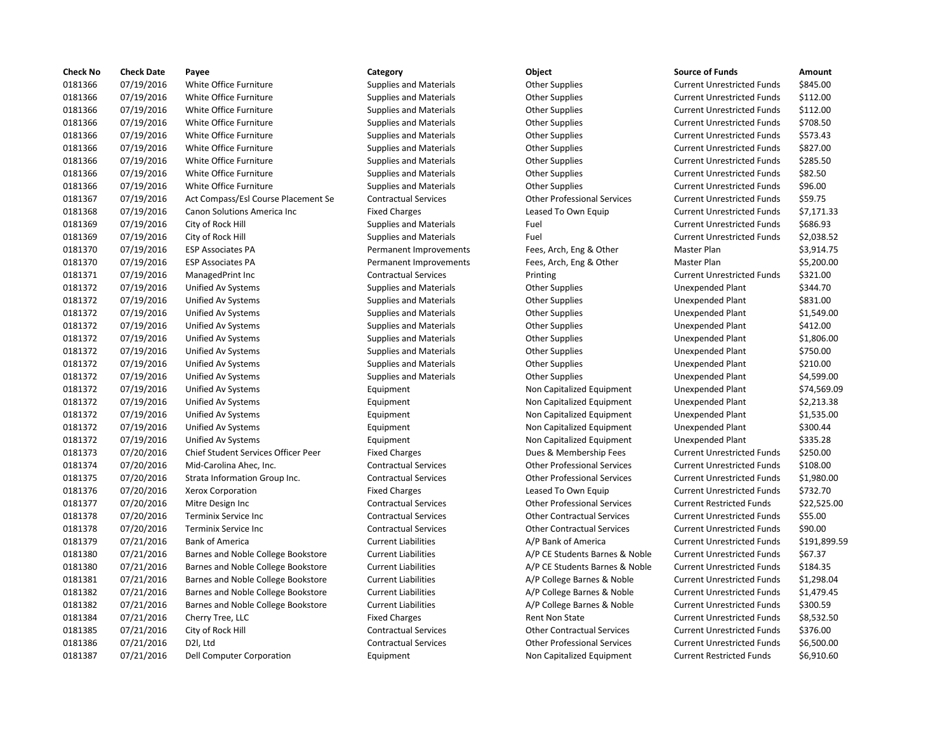| <b>Check No</b> | <b>Check Date</b> | Payee                               | Category                      | Object                             | <b>Source of Funds</b>            | Amount       |
|-----------------|-------------------|-------------------------------------|-------------------------------|------------------------------------|-----------------------------------|--------------|
| 0181366         | 07/19/2016        | White Office Furniture              | <b>Supplies and Materials</b> | <b>Other Supplies</b>              | <b>Current Unrestricted Funds</b> | \$845.00     |
| 0181366         | 07/19/2016        | White Office Furniture              | <b>Supplies and Materials</b> | <b>Other Supplies</b>              | <b>Current Unrestricted Funds</b> | \$112.00     |
| 0181366         | 07/19/2016        | White Office Furniture              | <b>Supplies and Materials</b> | <b>Other Supplies</b>              | <b>Current Unrestricted Funds</b> | \$112.00     |
| 0181366         | 07/19/2016        | White Office Furniture              | <b>Supplies and Materials</b> | <b>Other Supplies</b>              | <b>Current Unrestricted Funds</b> | \$708.50     |
| 0181366         | 07/19/2016        | White Office Furniture              | <b>Supplies and Materials</b> | <b>Other Supplies</b>              | <b>Current Unrestricted Funds</b> | \$573.43     |
| 0181366         | 07/19/2016        | White Office Furniture              | <b>Supplies and Materials</b> | <b>Other Supplies</b>              | <b>Current Unrestricted Funds</b> | \$827.00     |
| 0181366         | 07/19/2016        | White Office Furniture              | <b>Supplies and Materials</b> | <b>Other Supplies</b>              | <b>Current Unrestricted Funds</b> | \$285.50     |
| 0181366         | 07/19/2016        | White Office Furniture              | <b>Supplies and Materials</b> | <b>Other Supplies</b>              | <b>Current Unrestricted Funds</b> | \$82.50      |
| 0181366         | 07/19/2016        | White Office Furniture              | <b>Supplies and Materials</b> | <b>Other Supplies</b>              | <b>Current Unrestricted Funds</b> | \$96.00      |
| 0181367         | 07/19/2016        | Act Compass/Esl Course Placement Se | <b>Contractual Services</b>   | <b>Other Professional Services</b> | <b>Current Unrestricted Funds</b> | \$59.75      |
| 0181368         | 07/19/2016        | Canon Solutions America Inc         | <b>Fixed Charges</b>          | Leased To Own Equip                | <b>Current Unrestricted Funds</b> | \$7,171.33   |
| 0181369         | 07/19/2016        | City of Rock Hill                   | <b>Supplies and Materials</b> | Fuel                               | <b>Current Unrestricted Funds</b> | \$686.93     |
| 0181369         | 07/19/2016        | City of Rock Hill                   | <b>Supplies and Materials</b> | Fuel                               | <b>Current Unrestricted Funds</b> | \$2,038.52   |
| 0181370         | 07/19/2016        | <b>ESP Associates PA</b>            | Permanent Improvements        | Fees, Arch, Eng & Other            | Master Plan                       | \$3,914.75   |
| 0181370         | 07/19/2016        | <b>ESP Associates PA</b>            | Permanent Improvements        | Fees, Arch, Eng & Other            | Master Plan                       | \$5,200.00   |
| 0181371         | 07/19/2016        | ManagedPrint Inc                    | <b>Contractual Services</b>   | Printing                           | <b>Current Unrestricted Funds</b> | \$321.00     |
| 0181372         | 07/19/2016        | Unified Av Systems                  | <b>Supplies and Materials</b> | <b>Other Supplies</b>              | Unexpended Plant                  | \$344.70     |
| 0181372         | 07/19/2016        | Unified Av Systems                  | <b>Supplies and Materials</b> | <b>Other Supplies</b>              | Unexpended Plant                  | \$831.00     |
| 0181372         | 07/19/2016        | Unified Av Systems                  | <b>Supplies and Materials</b> | <b>Other Supplies</b>              | Unexpended Plant                  | \$1,549.00   |
| 0181372         | 07/19/2016        | Unified Av Systems                  | <b>Supplies and Materials</b> | <b>Other Supplies</b>              | Unexpended Plant                  | \$412.00     |
| 0181372         | 07/19/2016        | Unified Av Systems                  | <b>Supplies and Materials</b> | <b>Other Supplies</b>              | Unexpended Plant                  | \$1,806.00   |
| 0181372         | 07/19/2016        | Unified Av Systems                  | <b>Supplies and Materials</b> | <b>Other Supplies</b>              | Unexpended Plant                  | \$750.00     |
| 0181372         | 07/19/2016        | Unified Av Systems                  | <b>Supplies and Materials</b> | <b>Other Supplies</b>              | Unexpended Plant                  | \$210.00     |
| 0181372         | 07/19/2016        | Unified Av Systems                  | <b>Supplies and Materials</b> | <b>Other Supplies</b>              | Unexpended Plant                  | \$4,599.00   |
| 0181372         | 07/19/2016        | Unified Av Systems                  | Equipment                     | Non Capitalized Equipment          | Unexpended Plant                  | \$74,569.09  |
| 0181372         | 07/19/2016        | Unified Av Systems                  | Equipment                     | Non Capitalized Equipment          | Unexpended Plant                  | \$2,213.38   |
| 0181372         | 07/19/2016        | Unified Av Systems                  | Equipment                     | Non Capitalized Equipment          | Unexpended Plant                  | \$1,535.00   |
| 0181372         | 07/19/2016        | Unified Av Systems                  | Equipment                     | Non Capitalized Equipment          | Unexpended Plant                  | \$300.44     |
| 0181372         | 07/19/2016        | Unified Av Systems                  | Equipment                     | Non Capitalized Equipment          | <b>Unexpended Plant</b>           | \$335.28     |
| 0181373         | 07/20/2016        | Chief Student Services Officer Peer | <b>Fixed Charges</b>          | Dues & Membership Fees             | <b>Current Unrestricted Funds</b> | \$250.00     |
| 0181374         | 07/20/2016        | Mid-Carolina Ahec, Inc.             | <b>Contractual Services</b>   | <b>Other Professional Services</b> | <b>Current Unrestricted Funds</b> | \$108.00     |
| 0181375         | 07/20/2016        | Strata Information Group Inc.       | <b>Contractual Services</b>   | <b>Other Professional Services</b> | <b>Current Unrestricted Funds</b> | \$1,980.00   |
| 0181376         | 07/20/2016        | Xerox Corporation                   | <b>Fixed Charges</b>          | Leased To Own Equip                | <b>Current Unrestricted Funds</b> | \$732.70     |
| 0181377         | 07/20/2016        | Mitre Design Inc                    | <b>Contractual Services</b>   | <b>Other Professional Services</b> | <b>Current Restricted Funds</b>   | \$22,525.00  |
| 0181378         | 07/20/2016        | Terminix Service Inc                | <b>Contractual Services</b>   | <b>Other Contractual Services</b>  | <b>Current Unrestricted Funds</b> | \$55.00      |
| 0181378         | 07/20/2016        | <b>Terminix Service Inc</b>         | <b>Contractual Services</b>   | <b>Other Contractual Services</b>  | <b>Current Unrestricted Funds</b> | \$90.00      |
| 0181379         | 07/21/2016        | <b>Bank of America</b>              | <b>Current Liabilities</b>    | A/P Bank of America                | <b>Current Unrestricted Funds</b> | \$191,899.59 |
| 0181380         | 07/21/2016        | Barnes and Noble College Bookstore  | <b>Current Liabilities</b>    | A/P CE Students Barnes & Noble     | <b>Current Unrestricted Funds</b> | \$67.37      |
| 0181380         | 07/21/2016        | Barnes and Noble College Bookstore  | <b>Current Liabilities</b>    | A/P CE Students Barnes & Noble     | <b>Current Unrestricted Funds</b> | \$184.35     |
| 0181381         | 07/21/2016        | Barnes and Noble College Bookstore  | <b>Current Liabilities</b>    | A/P College Barnes & Noble         | <b>Current Unrestricted Funds</b> | \$1,298.04   |
| 0181382         | 07/21/2016        | Barnes and Noble College Bookstore  | <b>Current Liabilities</b>    | A/P College Barnes & Noble         | <b>Current Unrestricted Funds</b> | \$1,479.45   |
| 0181382         | 07/21/2016        | Barnes and Noble College Bookstore  | <b>Current Liabilities</b>    | A/P College Barnes & Noble         | <b>Current Unrestricted Funds</b> | \$300.59     |
| 0181384         | 07/21/2016        | Cherry Tree, LLC                    | <b>Fixed Charges</b>          | <b>Rent Non State</b>              | <b>Current Unrestricted Funds</b> | \$8,532.50   |
| 0181385         | 07/21/2016        | City of Rock Hill                   | <b>Contractual Services</b>   | <b>Other Contractual Services</b>  | <b>Current Unrestricted Funds</b> | \$376.00     |
| 0181386         | 07/21/2016        | D2I, Ltd                            | <b>Contractual Services</b>   | <b>Other Professional Services</b> | <b>Current Unrestricted Funds</b> | \$6,500.00   |
| 0181387         | 07/21/2016        | Dell Computer Corporation           | Equipment                     | Non Capitalized Equipment          | <b>Current Restricted Funds</b>   | \$6,910.60   |

# Contractual Services **Contractual Services** Contractual Services Equipment **Example Av Systems Equipment** Non Capitalized Equipment Equipment Non Capitalized Equipment Equipment **Example Av Systems Equipment** Non Capitalized Equipment Equipment Non Capitalized Equipment Fixed Charges **Charges** Charges **Current Services Of Teles & Membership Fees** Current United Services **Dues & Membership Fees** Contractual Services **Micropolina Ahec, Inc. Contractual Services** Current United Services Contractual Services **Strata Inc.** Contractual Services **Other Professional Services** Contractual Services **Terminis Services** Other Contractual Services Contractual Services **Terminis Services** Other Contractual Services Current Liabilities **A/P CE Students Barnes & Noble** Current Liabilities **A/P CE Students Barnes & Noble** Current Liabilities **A/P College Barnes & Noble** Current Liabilities **A/P College Barnes & Noble** Current Liabilities **A/P College Barnes & Noble** Contractual Services **Contractual Services** Contractual Services Contractual Services **Contractual Services** Current Units Contractual Services

| Category                      | Object                             | <b>Source of Funds</b>            | Amount       |
|-------------------------------|------------------------------------|-----------------------------------|--------------|
| <b>Supplies and Materials</b> | <b>Other Supplies</b>              | <b>Current Unrestricted Funds</b> | \$845.00     |
| <b>Supplies and Materials</b> | <b>Other Supplies</b>              | <b>Current Unrestricted Funds</b> | \$112.00     |
| <b>Supplies and Materials</b> | <b>Other Supplies</b>              | <b>Current Unrestricted Funds</b> | \$112.00     |
| <b>Supplies and Materials</b> | <b>Other Supplies</b>              | <b>Current Unrestricted Funds</b> | \$708.50     |
| <b>Supplies and Materials</b> | <b>Other Supplies</b>              | <b>Current Unrestricted Funds</b> | \$573.43     |
| <b>Supplies and Materials</b> | <b>Other Supplies</b>              | <b>Current Unrestricted Funds</b> | \$827.00     |
| <b>Supplies and Materials</b> | <b>Other Supplies</b>              | <b>Current Unrestricted Funds</b> | \$285.50     |
| <b>Supplies and Materials</b> | <b>Other Supplies</b>              | <b>Current Unrestricted Funds</b> | \$82.50      |
| <b>Supplies and Materials</b> | <b>Other Supplies</b>              | <b>Current Unrestricted Funds</b> | \$96.00      |
| <b>Contractual Services</b>   | <b>Other Professional Services</b> | <b>Current Unrestricted Funds</b> | \$59.75      |
| <b>Fixed Charges</b>          | Leased To Own Equip                | <b>Current Unrestricted Funds</b> | \$7,171.33   |
| <b>Supplies and Materials</b> | Fuel                               | <b>Current Unrestricted Funds</b> | \$686.93     |
| <b>Supplies and Materials</b> | Fuel                               | <b>Current Unrestricted Funds</b> | \$2,038.52   |
| Permanent Improvements        | Fees, Arch, Eng & Other            | Master Plan                       | \$3,914.75   |
| Permanent Improvements        | Fees, Arch, Eng & Other            | Master Plan                       | \$5,200.00   |
| <b>Contractual Services</b>   | Printing                           | <b>Current Unrestricted Funds</b> | \$321.00     |
| <b>Supplies and Materials</b> | <b>Other Supplies</b>              | Unexpended Plant                  | \$344.70     |
| <b>Supplies and Materials</b> | <b>Other Supplies</b>              | <b>Unexpended Plant</b>           | \$831.00     |
| <b>Supplies and Materials</b> | <b>Other Supplies</b>              | <b>Unexpended Plant</b>           | \$1,549.00   |
| <b>Supplies and Materials</b> | <b>Other Supplies</b>              | <b>Unexpended Plant</b>           | \$412.00     |
| <b>Supplies and Materials</b> | <b>Other Supplies</b>              | Unexpended Plant                  | \$1,806.00   |
| <b>Supplies and Materials</b> | <b>Other Supplies</b>              | <b>Unexpended Plant</b>           | \$750.00     |
| <b>Supplies and Materials</b> | <b>Other Supplies</b>              | Unexpended Plant                  | \$210.00     |
| <b>Supplies and Materials</b> | <b>Other Supplies</b>              | Unexpended Plant                  | \$4,599.00   |
| Equipment                     | Non Capitalized Equipment          | <b>Unexpended Plant</b>           | \$74,569.09  |
| Equipment                     | Non Capitalized Equipment          | Unexpended Plant                  | \$2,213.38   |
| Equipment                     | Non Capitalized Equipment          | Unexpended Plant                  | \$1,535.00   |
| Equipment                     | Non Capitalized Equipment          | <b>Unexpended Plant</b>           | \$300.44     |
| Equipment                     | Non Capitalized Equipment          | <b>Unexpended Plant</b>           | \$335.28     |
| <b>Fixed Charges</b>          | Dues & Membership Fees             | <b>Current Unrestricted Funds</b> | \$250.00     |
| <b>Contractual Services</b>   | <b>Other Professional Services</b> | <b>Current Unrestricted Funds</b> | \$108.00     |
| <b>Contractual Services</b>   | <b>Other Professional Services</b> | <b>Current Unrestricted Funds</b> | \$1,980.00   |
| <b>Fixed Charges</b>          | Leased To Own Equip                | <b>Current Unrestricted Funds</b> | \$732.70     |
| <b>Contractual Services</b>   | <b>Other Professional Services</b> | <b>Current Restricted Funds</b>   | \$22,525.00  |
| <b>Contractual Services</b>   | <b>Other Contractual Services</b>  | <b>Current Unrestricted Funds</b> | \$55.00      |
| <b>Contractual Services</b>   | <b>Other Contractual Services</b>  | <b>Current Unrestricted Funds</b> | \$90.00      |
| <b>Current Liabilities</b>    | A/P Bank of America                | <b>Current Unrestricted Funds</b> | \$191,899.59 |
| <b>Current Liabilities</b>    | A/P CE Students Barnes & Noble     | <b>Current Unrestricted Funds</b> | \$67.37      |
| <b>Current Liabilities</b>    | A/P CE Students Barnes & Noble     | <b>Current Unrestricted Funds</b> | \$184.35     |
| <b>Current Liabilities</b>    | A/P College Barnes & Noble         | <b>Current Unrestricted Funds</b> | \$1,298.04   |
| <b>Current Liabilities</b>    | A/P College Barnes & Noble         | <b>Current Unrestricted Funds</b> | \$1,479.45   |
| <b>Current Liabilities</b>    | A/P College Barnes & Noble         | <b>Current Unrestricted Funds</b> | \$300.59     |
| <b>Fixed Charges</b>          | Rent Non State                     | <b>Current Unrestricted Funds</b> | \$8,532.50   |
| <b>Contractual Services</b>   | <b>Other Contractual Services</b>  | <b>Current Unrestricted Funds</b> | \$376.00     |
| <b>Contractual Services</b>   | <b>Other Professional Services</b> | <b>Current Unrestricted Funds</b> | \$6,500.00   |
| Equipment                     | Non Capitalized Equipment          | <b>Current Restricted Funds</b>   | \$6,910.60   |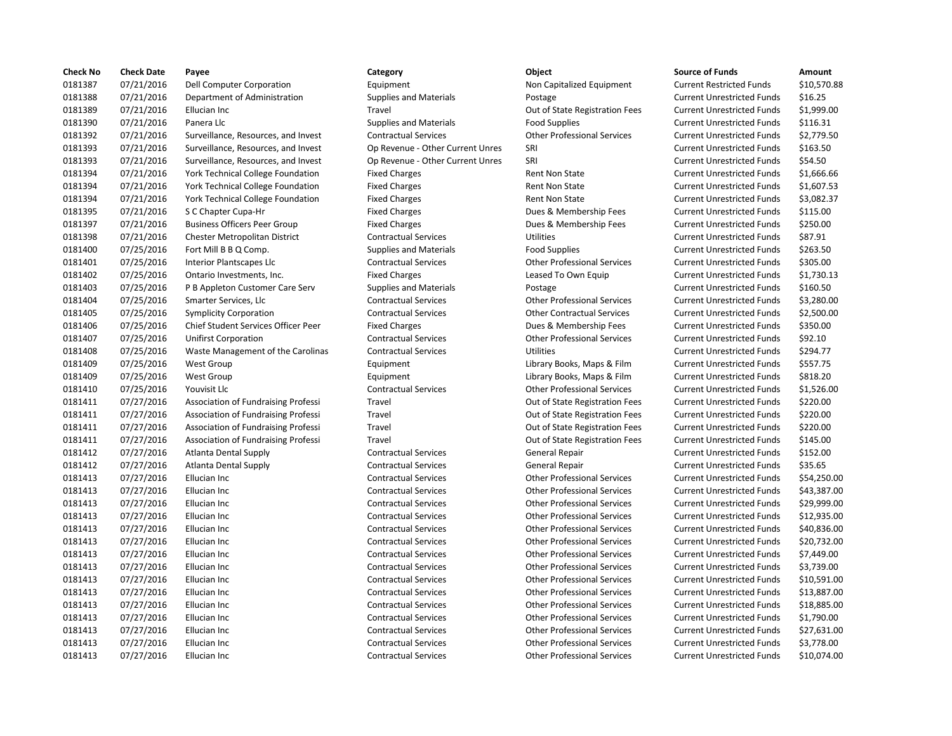| <b>Check No</b> | <b>Check Date</b> | Payee                                | Category                         | Object                             | <b>Source of Funds</b>            | Amount    |
|-----------------|-------------------|--------------------------------------|----------------------------------|------------------------------------|-----------------------------------|-----------|
| 0181387         | 07/21/2016        | Dell Computer Corporation            | Equipment                        | Non Capitalized Equipment          | <b>Current Restricted Funds</b>   | \$10,570  |
| 0181388         | 07/21/2016        | Department of Administration         | <b>Supplies and Materials</b>    | Postage                            | <b>Current Unrestricted Funds</b> | \$16.25   |
| 0181389         | 07/21/2016        | Ellucian Inc                         | Travel                           | Out of State Registration Fees     | <b>Current Unrestricted Funds</b> | \$1,999.0 |
| 0181390         | 07/21/2016        | Panera Llc                           | <b>Supplies and Materials</b>    | <b>Food Supplies</b>               | <b>Current Unrestricted Funds</b> | \$116.31  |
| 0181392         | 07/21/2016        | Surveillance, Resources, and Invest  | <b>Contractual Services</b>      | <b>Other Professional Services</b> | <b>Current Unrestricted Funds</b> | \$2,779.5 |
| 0181393         | 07/21/2016        | Surveillance, Resources, and Invest  | Op Revenue - Other Current Unres | SRI                                | <b>Current Unrestricted Funds</b> | \$163.50  |
| 0181393         | 07/21/2016        | Surveillance, Resources, and Invest  | Op Revenue - Other Current Unres | SRI                                | <b>Current Unrestricted Funds</b> | \$54.50   |
| 0181394         | 07/21/2016        | York Technical College Foundation    | <b>Fixed Charges</b>             | Rent Non State                     | <b>Current Unrestricted Funds</b> | \$1,666.6 |
| 0181394         | 07/21/2016        | York Technical College Foundation    | <b>Fixed Charges</b>             | Rent Non State                     | <b>Current Unrestricted Funds</b> | \$1,607.5 |
| 0181394         | 07/21/2016        | York Technical College Foundation    | <b>Fixed Charges</b>             | Rent Non State                     | <b>Current Unrestricted Funds</b> | \$3,082.3 |
| 0181395         | 07/21/2016        | S C Chapter Cupa-Hr                  | <b>Fixed Charges</b>             | Dues & Membership Fees             | <b>Current Unrestricted Funds</b> | \$115.00  |
| 0181397         | 07/21/2016        | <b>Business Officers Peer Group</b>  | <b>Fixed Charges</b>             | Dues & Membership Fees             | <b>Current Unrestricted Funds</b> | \$250.00  |
| 0181398         | 07/21/2016        | <b>Chester Metropolitan District</b> | <b>Contractual Services</b>      | <b>Utilities</b>                   | <b>Current Unrestricted Funds</b> | \$87.91   |
| 0181400         | 07/25/2016        | Fort Mill B B Q Comp.                | <b>Supplies and Materials</b>    | <b>Food Supplies</b>               | <b>Current Unrestricted Funds</b> | \$263.50  |
| 0181401         | 07/25/2016        | Interior Plantscapes Llc             | <b>Contractual Services</b>      | <b>Other Professional Services</b> | <b>Current Unrestricted Funds</b> | \$305.00  |
| 0181402         | 07/25/2016        | Ontario Investments, Inc.            | <b>Fixed Charges</b>             | Leased To Own Equip                | <b>Current Unrestricted Funds</b> | \$1,730.1 |
| 0181403         | 07/25/2016        | P B Appleton Customer Care Serv      | <b>Supplies and Materials</b>    | Postage                            | <b>Current Unrestricted Funds</b> | \$160.50  |
| 0181404         | 07/25/2016        | Smarter Services, Llc                | <b>Contractual Services</b>      | <b>Other Professional Services</b> | <b>Current Unrestricted Funds</b> | \$3,280.0 |
| 0181405         | 07/25/2016        | <b>Symplicity Corporation</b>        | <b>Contractual Services</b>      | <b>Other Contractual Services</b>  | <b>Current Unrestricted Funds</b> | \$2,500.0 |
| 0181406         | 07/25/2016        | Chief Student Services Officer Peer  | <b>Fixed Charges</b>             | Dues & Membership Fees             | <b>Current Unrestricted Funds</b> | \$350.00  |
| 0181407         | 07/25/2016        | <b>Unifirst Corporation</b>          | <b>Contractual Services</b>      | <b>Other Professional Services</b> | <b>Current Unrestricted Funds</b> | \$92.10   |
| 0181408         | 07/25/2016        | Waste Management of the Carolinas    | <b>Contractual Services</b>      | <b>Utilities</b>                   | <b>Current Unrestricted Funds</b> | \$294.77  |
| 0181409         | 07/25/2016        | West Group                           | Equipment                        | Library Books, Maps & Film         | <b>Current Unrestricted Funds</b> | \$557.75  |
| 0181409         | 07/25/2016        | West Group                           | Equipment                        | Library Books, Maps & Film         | <b>Current Unrestricted Funds</b> | \$818.20  |
| 0181410         | 07/25/2016        | Youvisit Llc                         | <b>Contractual Services</b>      | <b>Other Professional Services</b> | <b>Current Unrestricted Funds</b> | \$1,526.0 |
| 0181411         | 07/27/2016        | Association of Fundraising Professi  | Travel                           | Out of State Registration Fees     | <b>Current Unrestricted Funds</b> | \$220.00  |
| 0181411         | 07/27/2016        | Association of Fundraising Professi  | Travel                           | Out of State Registration Fees     | <b>Current Unrestricted Funds</b> | \$220.00  |
| 0181411         | 07/27/2016        | Association of Fundraising Professi  | Travel                           | Out of State Registration Fees     | <b>Current Unrestricted Funds</b> | \$220.00  |
| 0181411         | 07/27/2016        | Association of Fundraising Professi  | Travel                           | Out of State Registration Fees     | <b>Current Unrestricted Funds</b> | \$145.00  |
| 0181412         | 07/27/2016        | Atlanta Dental Supply                | <b>Contractual Services</b>      | General Repair                     | <b>Current Unrestricted Funds</b> | \$152.00  |
| 0181412         | 07/27/2016        | Atlanta Dental Supply                | <b>Contractual Services</b>      | General Repair                     | <b>Current Unrestricted Funds</b> | \$35.65   |
| 0181413         | 07/27/2016        | Ellucian Inc                         | <b>Contractual Services</b>      | <b>Other Professional Services</b> | <b>Current Unrestricted Funds</b> | \$54,250  |
| 0181413         | 07/27/2016        | Ellucian Inc                         | <b>Contractual Services</b>      | <b>Other Professional Services</b> | <b>Current Unrestricted Funds</b> | \$43,387  |
| 0181413         | 07/27/2016        | Ellucian Inc                         | <b>Contractual Services</b>      | <b>Other Professional Services</b> | <b>Current Unrestricted Funds</b> | \$29,999  |
| 0181413         | 07/27/2016        | Ellucian Inc                         | <b>Contractual Services</b>      | <b>Other Professional Services</b> | <b>Current Unrestricted Funds</b> | \$12,935  |
| 0181413         | 07/27/2016        | Ellucian Inc                         | <b>Contractual Services</b>      | <b>Other Professional Services</b> | <b>Current Unrestricted Funds</b> | \$40,836  |
| 0181413         | 07/27/2016        | Ellucian Inc                         | <b>Contractual Services</b>      | <b>Other Professional Services</b> | <b>Current Unrestricted Funds</b> | \$20,732  |
| 0181413         | 07/27/2016        | Ellucian Inc                         | <b>Contractual Services</b>      | <b>Other Professional Services</b> | <b>Current Unrestricted Funds</b> | \$7,449.0 |
| 0181413         | 07/27/2016        | Ellucian Inc                         | <b>Contractual Services</b>      | <b>Other Professional Services</b> | <b>Current Unrestricted Funds</b> | \$3,739.0 |
| 0181413         | 07/27/2016        | Ellucian Inc                         | <b>Contractual Services</b>      | <b>Other Professional Services</b> | <b>Current Unrestricted Funds</b> | \$10,591  |
| 0181413         | 07/27/2016        | Ellucian Inc                         | <b>Contractual Services</b>      | <b>Other Professional Services</b> | <b>Current Unrestricted Funds</b> | \$13,887  |
| 0181413         | 07/27/2016        | Ellucian Inc                         | <b>Contractual Services</b>      | <b>Other Professional Services</b> | <b>Current Unrestricted Funds</b> | \$18,885  |
| 0181413         | 07/27/2016        | Ellucian Inc                         | <b>Contractual Services</b>      | <b>Other Professional Services</b> | <b>Current Unrestricted Funds</b> | \$1,790.0 |
| 0181413         | 07/27/2016        | Ellucian Inc                         | <b>Contractual Services</b>      | <b>Other Professional Services</b> | <b>Current Unrestricted Funds</b> | \$27,631  |
| 0181413         | 07/27/2016        | Ellucian Inc                         | <b>Contractual Services</b>      | <b>Other Professional Services</b> | <b>Current Unrestricted Funds</b> | \$3,778.0 |
| 0181413         | 07/27/2016        | Ellucian Inc                         | <b>Contractual Services</b>      | <b>Other Professional Services</b> | <b>Current Unrestricted Funds</b> | \$10,074  |

## Equipment 11.177 0.88 0181388 07/21/2016 Department of Administration Supplies and Materials Postage Current Unrestricted Funds \$16.25 Travel **1.2016** Out of State Registration Fees Current Unrestricted Funds \$1,999.00 0181390 07/21/2016 Panera Llc Supplies and Materials Food Supplies Current Unrestricted Funds \$116.31 0181392 07/21/2016 Surveillance, Resources, and Invest Contractual Services Other Professional Services Current Unrestricted Funds \$2,779.50 onder the Current Unres SRI Current Op Revenue - Other Current Unres STRI Current Unrestricted Funds \$163.50 of the Current Unres SRI Current Unres SRI Current Unrestricted Funds \$54.50 on Fixed Charges Technical College Rent Non State Current Unrestricted Funds \$1,666.66 on Fixed Charges Technical College Rent Non State Current Unrestricted Funds \$1,607.53 on Fixed Charges Technical College Rent Non State Current Unrestricted Funds \$3,082.37 Fixed Charges **115.00** Dues & Membership Fees Current Unrestricted Funds \$115.00 Fixed Charges **Dues & Membership Fees** Current Unrestricted Funds \$250.00 Contractual Services **Current District Contractual Services** Utilities Current Unrestricted Funds \$87.91 0181400 07/25/2016 Fort Mill B B Q Comp. Supplies and Materials Food Supplies Current Unrestricted Funds \$263.50 0181401 07/25/2016 Interior Plantscapes Llc Contractual Services Other Professional Services Current Unrestricted Funds \$305.00 Fixed Charges **Charges** Leased To Own Equip Current Unrestricted Funds \$1,730.13 Supplies and Materials **Custom Custom Custom Current Unrestricted Funds** \$160.50 0181404 07/25/2016 Smarter Services, Llc Contractual Services Other Professional Services Current Unrestricted Funds \$3,280.00 0181405 07/25/2016 Symplicity Corporation Contractual Services Other Contractual Services Current Unrestricted Funds \$2,500.00 er Fixed Charges The Student Student Services Officer Peer Fixed Current Unrestricted Funds \$350.00 0181407 07/25/2016 Unifirst Corporation Contractual Services Other Professional Services Current Unrestricted Funds \$92.10 ontractual Services and Utilities Current Outrent Outer Current Unrestricted Funds in the Current Unrestricted Funds in the Current Unrestricted Funds in the Current Unrestricted Funds in the Current Unrestricted Funds in 0181409 07/25/2016 West Group Equipment Library Books, Maps & Film Current Unrestricted Funds \$557.75 Equipment **Example 2018** Library Books, Maps & Film Current Unrestricted Funds \$818.20 0181410 07/25/2016 Youvisit Llc Contractual Services Other Professional Services Current Unrestricted Funds \$1,526.00 0181411 07/27/2016 Association of Fundraising Professi Travel Out of State Registration Fees Current Unrestricted Funds \$220.00 0181411 07/27/2016 Association of Fundraising Professi Travel Out of State Registration Fees Current Unrestricted Funds \$220.00 0181411 07/27/2016 Association of Fundraising Professi Travel Out of State Registration Fees Current Unrestricted Funds \$220.00 0181411 07/27/2016 Association of Fundraising Professi Travel Out of State Registration Fees Current Unrestricted Funds \$145.00 0181412 07/27/2016 Atlanta Dental Supply Contractual Services General Repair Current Unrestricted Funds \$152.00 0181412 07/27/2016 Atlanta Dental Supply Contractual Services General Repair Current Unrestricted Funds \$35.65 0181413 07/27/2016 Ellucian Inc Contractual Services Other Professional Services Current Unrestricted Funds \$54,250.00 Contractual Services **Current Inc Contractual Services** Current Unrestricted Funds \$43,387.00 0181413 07/27/2016 Ellucian Inc Contractual Services Other Professional Services Current Unrestricted Funds \$29,999.00 0181413 07/27/2016 Ellucian Inc Contractual Services Other Professional Services Current Unrestricted Funds \$12,935.00 0181413 07/27/2016 Ellucian Inc Contractual Services Other Professional Services Current Unrestricted Funds \$40,836.00 0181413 07/27/2016 Ellucian Inc Contractual Services Other Professional Services Current Unrestricted Funds \$20,732.00 0181413 07/27/2016 Ellucian Inc Contractual Services Other Professional Services Current Unrestricted Funds \$7,449.00 0181413 07/27/2016 Ellucian Inc Contractual Services Other Professional Services Current Unrestricted Funds \$3,739.00 Contractual Services **Other Professional Services** Current Unrestricted Funds \$10,591.00 0181413 07/27/2016 Ellucian Inc Contractual Services Other Professional Services Current Unrestricted Funds \$13,887.00 0181413 07/27/2016 Ellucian Inc Contractual Services Other Professional Services Current Unrestricted Funds \$18,885.00 0181413 07/27/2016 Ellucian Inc Contractual Services Other Professional Services Current Unrestricted Funds \$1,790.00 Contractual Services **CULCICIAN INC CONTROVER SERVICES** Current Unrestricted Funds \$27,631.00 0181413 07/27/2016 Ellucian Inc Contractual Services Other Professional Services Current Unrestricted Funds \$3,778.00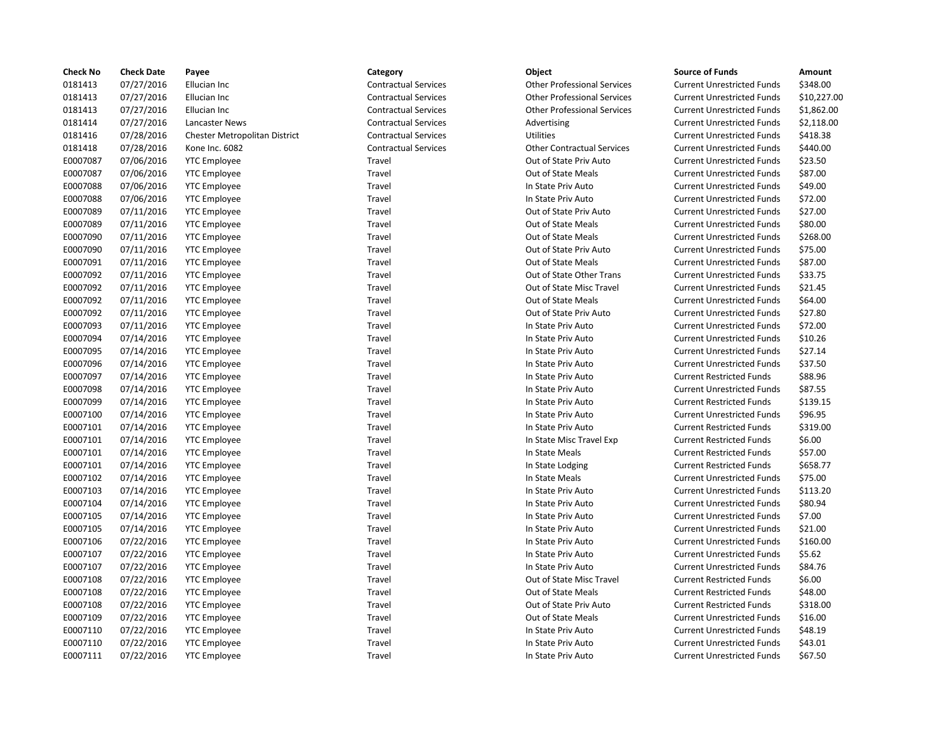| <b>Check No</b> | <b>Check Date</b> | Payee                         | Category                    | Object                             | <b>Source of Funds</b>            | Amount    |
|-----------------|-------------------|-------------------------------|-----------------------------|------------------------------------|-----------------------------------|-----------|
| 0181413         | 07/27/2016        | Ellucian Inc                  | <b>Contractual Services</b> | <b>Other Professional Services</b> | <b>Current Unrestricted Funds</b> | \$348.00  |
| 0181413         | 07/27/2016        | Ellucian Inc                  | <b>Contractual Services</b> | <b>Other Professional Services</b> | <b>Current Unrestricted Funds</b> | \$10,227  |
| 0181413         | 07/27/2016        | Ellucian Inc                  | <b>Contractual Services</b> | <b>Other Professional Services</b> | <b>Current Unrestricted Funds</b> | \$1,862.0 |
| 0181414         | 07/27/2016        | <b>Lancaster News</b>         | <b>Contractual Services</b> | Advertising                        | <b>Current Unrestricted Funds</b> | \$2,118.0 |
| 0181416         | 07/28/2016        | Chester Metropolitan District | <b>Contractual Services</b> | <b>Utilities</b>                   | <b>Current Unrestricted Funds</b> | \$418.38  |
| 0181418         | 07/28/2016        | Kone Inc. 6082                | <b>Contractual Services</b> | <b>Other Contractual Services</b>  | <b>Current Unrestricted Funds</b> | \$440.00  |
| E0007087        | 07/06/2016        | <b>YTC Employee</b>           | Travel                      | Out of State Priv Auto             | <b>Current Unrestricted Funds</b> | \$23.50   |
| E0007087        | 07/06/2016        | <b>YTC</b> Employee           | Travel                      | Out of State Meals                 | <b>Current Unrestricted Funds</b> | \$87.00   |
| E0007088        | 07/06/2016        | <b>YTC Employee</b>           | Travel                      | In State Priv Auto                 | <b>Current Unrestricted Funds</b> | \$49.00   |
| E0007088        | 07/06/2016        | <b>YTC Employee</b>           | Travel                      | In State Priv Auto                 | <b>Current Unrestricted Funds</b> | \$72.00   |
| E0007089        | 07/11/2016        | <b>YTC Employee</b>           | Travel                      | Out of State Priv Auto             | <b>Current Unrestricted Funds</b> | \$27.00   |
| E0007089        | 07/11/2016        | <b>YTC Employee</b>           | Travel                      | Out of State Meals                 | <b>Current Unrestricted Funds</b> | \$80.00   |
| E0007090        | 07/11/2016        | <b>YTC</b> Employee           | Travel                      | Out of State Meals                 | <b>Current Unrestricted Funds</b> | \$268.00  |
| E0007090        | 07/11/2016        | <b>YTC Employee</b>           | Travel                      | Out of State Priv Auto             | <b>Current Unrestricted Funds</b> | \$75.00   |
| E0007091        | 07/11/2016        | <b>YTC Employee</b>           | Travel                      | Out of State Meals                 | <b>Current Unrestricted Funds</b> | \$87.00   |
| E0007092        | 07/11/2016        | <b>YTC Employee</b>           | Travel                      | Out of State Other Trans           | <b>Current Unrestricted Funds</b> | \$33.75   |
| E0007092        | 07/11/2016        | <b>YTC Employee</b>           | Travel                      | Out of State Misc Travel           | <b>Current Unrestricted Funds</b> | \$21.45   |
| E0007092        | 07/11/2016        | <b>YTC Employee</b>           | Travel                      | Out of State Meals                 | <b>Current Unrestricted Funds</b> | \$64.00   |
| E0007092        | 07/11/2016        | <b>YTC Employee</b>           | Travel                      | Out of State Priv Auto             | <b>Current Unrestricted Funds</b> | \$27.80   |
| E0007093        | 07/11/2016        | <b>YTC</b> Employee           | Travel                      | In State Priv Auto                 | <b>Current Unrestricted Funds</b> | \$72.00   |
| E0007094        | 07/14/2016        | <b>YTC Employee</b>           | Travel                      | In State Priv Auto                 | <b>Current Unrestricted Funds</b> | \$10.26   |
| E0007095        | 07/14/2016        | <b>YTC</b> Employee           | Travel                      | In State Priv Auto                 | <b>Current Unrestricted Funds</b> | \$27.14   |
| E0007096        | 07/14/2016        | <b>YTC Employee</b>           | Travel                      | In State Priv Auto                 | <b>Current Unrestricted Funds</b> | \$37.50   |
| E0007097        | 07/14/2016        | <b>YTC</b> Employee           | Travel                      | In State Priv Auto                 | <b>Current Restricted Funds</b>   | \$88.96   |
| E0007098        | 07/14/2016        | <b>YTC Employee</b>           | Travel                      | In State Priv Auto                 | <b>Current Unrestricted Funds</b> | \$87.55   |
| E0007099        | 07/14/2016        | <b>YTC</b> Employee           | Travel                      | In State Priv Auto                 | <b>Current Restricted Funds</b>   | \$139.15  |
| E0007100        | 07/14/2016        | <b>YTC</b> Employee           | Travel                      | In State Priv Auto                 | <b>Current Unrestricted Funds</b> | \$96.95   |
| E0007101        | 07/14/2016        | <b>YTC Employee</b>           | Travel                      | In State Priv Auto                 | <b>Current Restricted Funds</b>   | \$319.00  |
| E0007101        | 07/14/2016        | <b>YTC</b> Employee           | Travel                      | In State Misc Travel Exp           | <b>Current Restricted Funds</b>   | \$6.00    |
| E0007101        | 07/14/2016        | <b>YTC Employee</b>           | Travel                      | In State Meals                     | <b>Current Restricted Funds</b>   | \$57.00   |
| E0007101        | 07/14/2016        | <b>YTC</b> Employee           | Travel                      | In State Lodging                   | <b>Current Restricted Funds</b>   | \$658.77  |
| E0007102        | 07/14/2016        | <b>YTC</b> Employee           | Travel                      | In State Meals                     | <b>Current Unrestricted Funds</b> | \$75.00   |
| E0007103        | 07/14/2016        | <b>YTC</b> Employee           | Travel                      | In State Priv Auto                 | <b>Current Unrestricted Funds</b> | \$113.20  |
| E0007104        | 07/14/2016        | <b>YTC Employee</b>           | Travel                      | In State Priv Auto                 | <b>Current Unrestricted Funds</b> | \$80.94   |
| E0007105        | 07/14/2016        | <b>YTC Employee</b>           | Travel                      | In State Priv Auto                 | <b>Current Unrestricted Funds</b> | \$7.00    |
| E0007105        | 07/14/2016        | <b>YTC</b> Employee           | Travel                      | In State Priv Auto                 | <b>Current Unrestricted Funds</b> | \$21.00   |
| E0007106        | 07/22/2016        | <b>YTC Employee</b>           | Travel                      | In State Priv Auto                 | <b>Current Unrestricted Funds</b> | \$160.00  |
| E0007107        | 07/22/2016        | <b>YTC</b> Employee           | Travel                      | In State Priv Auto                 | <b>Current Unrestricted Funds</b> | \$5.62    |
| E0007107        | 07/22/2016        | <b>YTC Employee</b>           | Travel                      | In State Priv Auto                 | <b>Current Unrestricted Funds</b> | \$84.76   |
| E0007108        | 07/22/2016        | <b>YTC</b> Employee           | Travel                      | Out of State Misc Travel           | <b>Current Restricted Funds</b>   | \$6.00    |
| E0007108        | 07/22/2016        | <b>YTC Employee</b>           | Travel                      | Out of State Meals                 | <b>Current Restricted Funds</b>   | \$48.00   |
| E0007108        | 07/22/2016        | <b>YTC Employee</b>           | Travel                      | Out of State Priv Auto             | <b>Current Restricted Funds</b>   | \$318.00  |
| E0007109        | 07/22/2016        | <b>YTC Employee</b>           | Travel                      | Out of State Meals                 | <b>Current Unrestricted Funds</b> | \$16.00   |
| E0007110        | 07/22/2016        | <b>YTC Employee</b>           | Travel                      | In State Priv Auto                 | <b>Current Unrestricted Funds</b> | \$48.19   |
| E0007110        | 07/22/2016        | <b>YTC Employee</b>           | Travel                      | In State Priv Auto                 | <b>Current Unrestricted Funds</b> | \$43.01   |
| E0007111        | 07/22/2016        | <b>YTC Employee</b>           | Travel                      | In State Priv Auto                 | <b>Current Unrestricted Funds</b> | \$67.50   |

| ategory:                |  |
|-------------------------|--|
| <b>Contractual Serv</b> |  |
| <b>Contractual Serv</b> |  |
| <b>Contractual Serv</b> |  |
| <b>Contractual Serv</b> |  |
| Contractual Ser         |  |
| <b>Contractual Serv</b> |  |
| ravel                   |  |
| ravel                   |  |
| <b>ravel</b>            |  |
| ravel                   |  |
| <b>ravel</b>            |  |
| ravel                   |  |
| ravel                   |  |
| ravel                   |  |
| ravel                   |  |
| <b>ravel</b>            |  |
| ravel                   |  |
| <b>ravel</b>            |  |
| ravel                   |  |
| ravel                   |  |
| ravel                   |  |
| ravel                   |  |
| <b>ravel</b>            |  |
| ravel                   |  |
| ravel                   |  |
| <b>ravel</b>            |  |
| ravel                   |  |
| ravel                   |  |
| ravel                   |  |
| <b>ravel</b>            |  |
| ravel<br>ravel          |  |
| <b>ravel</b>            |  |
| ravel                   |  |
| ravel                   |  |
| ravel                   |  |
| ravel                   |  |
| ravel                   |  |
| ravel                   |  |
| <b>ravel</b>            |  |
| ravel                   |  |
| <b>ravel</b>            |  |
| ravel                   |  |
| ravel                   |  |
| ravel                   |  |
| ravel                   |  |

| o esta<br>×<br>۰.<br>×<br>۰,<br>$\sim$<br>×. |
|----------------------------------------------|
|----------------------------------------------|